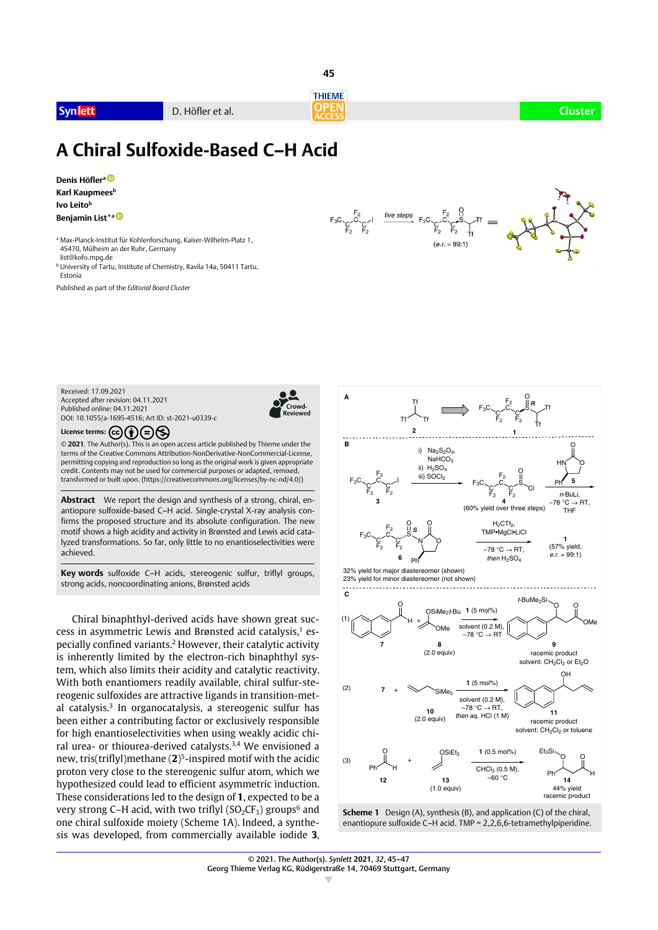

**Synlett** D. Höfler et al. **Cluster**



# **A Chiral Sulfoxide-Based C–H Acid**

**Denis Höflera [0](http://orcid.org/0000-0001-8470-1063)-1-8470-1063**

**Karl Kaupmees**b **Ivo Leitob Benjamin List**\*a<sup>0</sup>

<sup>a</sup> Max-Planck-Institut für Kohlenforschung, Kaiser-Wilhelm-Platz 1,

- 45470, Mülheim an der Ruhr, Germany list@kofo.mpg.de
- <sup>b</sup> University of Tartu, Institute of Chemistry, Ravila 14a, 50411 Tartu, Estonia

Published as part of the *Editorial Board Cluster*



Received: 17.09.2021 Accepted after revision: 04.11.2021 Published online: 04.11.2021 DOI: 10.1055/a-1695-4516; Art ID: st-2021-u0339-c



License terms:  $\left(\text{cc}\right)\left(\frac{1}{\bullet}\right)\left(\frac{1}{\bullet}\right)\left(\frac{1}{\bullet}\right)$ 

© **2021**. The Author(s). This is an open access article published by Thieme under the terms of the Creative Commons Attribution-NonDerivative-NonCommercial-License, permitting copying and reproduction so long as the original work is given appropriate credit. Contents may not be used for commercial purposes or adapted, remixed, transformed or built upon. (https://creativecommons.org/licenses/by-nc-nd/4.0/)

**Abstract** We report the design and synthesis of a strong, chiral, enantiopure sulfoxide-based C–H acid. Single-crystal X-ray analysis confirms the proposed structure and its absolute configuration. The new motif shows a high acidity and activity in Brønsted and Lewis acid catalyzed transformations. So far, only little to no enantioselectivities were achieved.

**Key words** sulfoxide C–H acids, stereogenic sulfur, triflyl groups, strong acids, noncoordinating anions, Brønsted acids

Chiral binaphthyl-derived acids have shown great success in asymmetric Lewis and Brønsted acid catalysis.<sup>1</sup> especially confined variants.2 However, their catalytic activity is inherently limited by the electron-rich binaphthyl system, which also limits their acidity and catalytic reactivity. With both enantiomers readily available, chiral sulfur-stereogenic sulfoxides are attractive ligands in transition-metal catalysis.<sup>3</sup> In organocatalysis, a stereogenic sulfur has been either a contributing factor or exclusively responsible for high enantioselectivities when using weakly acidic chiral urea- or thiourea-derived catalysts.3,4 We envisioned a new, tris(triflyl)methane (**2**)5-inspired motif with the acidic proton very close to the stereogenic sulfur atom, which we hypothesized could lead to efficient asymmetric induction. These considerations led to the design of **1**, expected to be a very strong C–H acid, with two triflyl  $(SO_2CF_3)$  groups<sup>6</sup> and one chiral sulfoxide moiety (Scheme 1A). Indeed, a synthesis was developed, from commercially available iodide **3**,



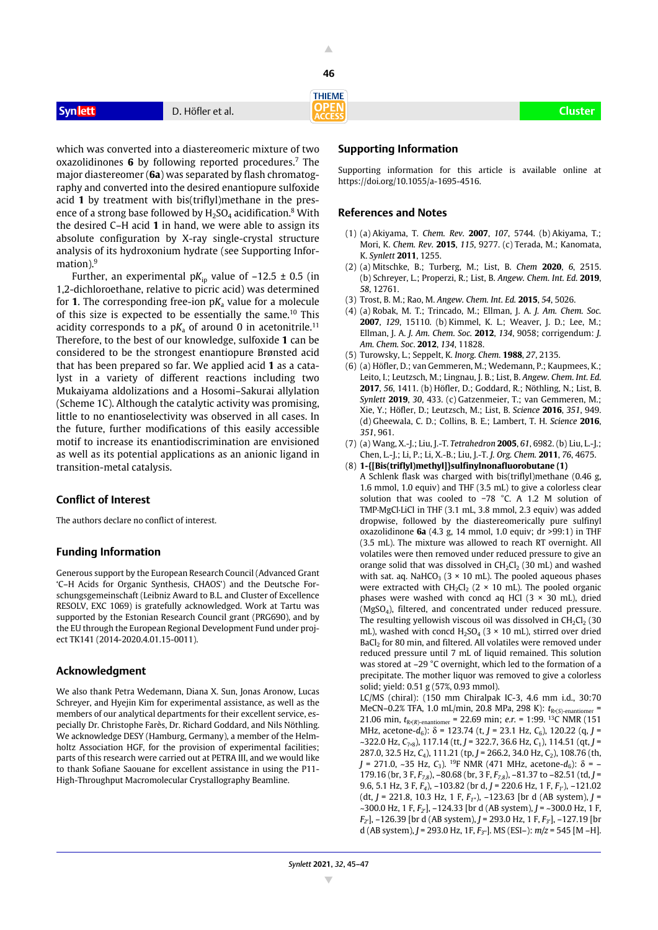**46**

**THIEME** 

**Synlett** D. Höfler et al. **Cluster**

which was converted into a diastereomeric mixture of two oxazolidinones **6** by following reported procedures.7 The major diastereomer (**6a**) was separated by flash chromatography and converted into the desired enantiopure sulfoxide acid **1** by treatment with bis(triflyl)methane in the presence of a strong base followed by  $H_2SO_4$  acidification.<sup>8</sup> With the desired C–H acid **1** in hand, we were able to assign its absolute configuration by X-ray single-crystal structure analysis of its hydroxonium hydrate (see Supporting Information).<sup>9</sup>

Further, an experimental  $pK_{ip}$  value of  $-12.5 \pm 0.5$  (in 1,2-dichloroethane, relative to picric acid) was determined for **1**. The corresponding free-ion  $pK_a$  value for a molecule of this size is expected to be essentially the same.10 This acidity corresponds to a  $pK_a$  of around 0 in acetonitrile.<sup>11</sup> Therefore, to the best of our knowledge, sulfoxide **1** can be considered to be the strongest enantiopure Brønsted acid that has been prepared so far. We applied acid **1** as a catalyst in a variety of different reactions including two Mukaiyama aldolizations and a Hosomi–Sakurai allylation (Scheme 1C). Although the catalytic activity was promising, little to no enantioselectivity was observed in all cases. In the future, further modifications of this easily accessible motif to increase its enantiodiscrimination are envisioned as well as its potential applications as an anionic ligand in transition-metal catalysis.

## **Conflict of Interest**

The authors declare no conflict of interest.

### **Funding Information**

Generous support by the European Research Council (Advanced Grant 'C–H Acids for Organic Synthesis, CHAOS') and the Deutsche Forschungsgemeinschaft (Leibniz Award to B.L. and Cluster of Excellence RESOLV, EXC 1069) is gratefully acknowledged. Work at Tartu was supported by the Estonian Research Council grant (PRG690), and by the EU through the European Regional Development Fund under project TK141 (2014-2020.4.01.15-0011).

### **Acknowledgment**

We also thank Petra Wedemann, Diana X. Sun, Jonas Aronow, Lucas Schreyer, and Hyejin Kim for experimental assistance, as well as the members of our analytical departments for their excellent service, especially Dr. Christophe Farès, Dr. Richard Goddard, and Nils Nöthling. We acknowledge DESY (Hamburg, Germany), a member of the Helmholtz Association HGF, for the provision of experimental facilities; parts of this research were carried out at PETRA III, and we would like to thank Sofiane Saouane for excellent assistance in using the P11- High-Throughput Macromolecular Crystallography Beamline.

#### **Supporting Information**

Supporting information for this article is available online at https://doi.org/10.1055/a-1695-4516.

### **References and Notes**

- (1) (a) Akiyama, T. *Chem. Rev.* **2007**, *107*, 5744. (b) Akiyama, T.; Mori, K. *Chem. Rev.* **2015**, *115*, 9277. (c) Terada, M.; Kanomata, K. *Synlett* **2011**, 1255.
- (2) (a) Mitschke, B.; Turberg, M.; List, B. *Chem* **2020**, *6*, 2515. (b) Schreyer, L.; Properzi, R.; List, B. *Angew. Chem. Int. Ed.* **2019**, *58*, 12761.
- (3) Trost, B. M.; Rao, M. *Angew. Chem. Int. Ed.* **2015**, *54*, 5026.
- (4) (a) Robak, M. T.; Trincado, M.; Ellman, J. A. *J. Am. Chem. Soc.* **2007**, *129*, 15110. (b) Kimmel, K. L.; Weaver, J. D.; Lee, M.; Ellman, J. A. *J. Am. Chem. Soc.* **2012**, *134*, 9058; corrigendum: *J. Am. Chem. Soc*. **2012**, *134*, 11828.
- (5) Turowsky, L.; Seppelt, K. *Inorg. Chem.* **1988**, *27*, 2135.
- (6) (a) Höfler, D.; van Gemmeren, M.; Wedemann, P.; Kaupmees, K.; Leito, I.; Leutzsch, M.; Lingnau, J. B.; List, B. *Angew. Chem. Int. Ed.* **2017**, *56*, 1411. (b) Höfler, D.; Goddard, R.; Nöthling, N.; List, B. *Synlett* **2019**, *30*, 433. (c) Gatzenmeier, T.; van Gemmeren, M.; Xie, Y.; Höfler, D.; Leutzsch, M.; List, B. *Science* **2016**, *351*, 949. (d) Gheewala, C. D.; Collins, B. E.; Lambert, T. H. *Science* **2016**, *351*, 961.
- (7) (a) Wang, X.-J.; Liu, J.-T. *Tetrahedron* **2005**, *61*, 6982. (b) Liu, L.-J.; Chen, L.-J.; Li, P.; Li, X.-B.; Liu, J.-T. *J. Org. Chem.* **2011**, *76*, 4675.
- (8) **1-{[Bis(triflyl)methyl]}sulfinylnonafluorobutane (1)**

A Schlenk flask was charged with bis(triflyl)methane (0.46 g, 1.6 mmol, 1.0 equiv) and THF (3.5 mL) to give a colorless clear solution that was cooled to −78 °C. A 1.2 M solution of TMP·MgCl·LiCl in THF (3.1 mL, 3.8 mmol, 2.3 equiv) was added dropwise, followed by the diastereomerically pure sulfinyl oxazolidinone **6a** (4.3 g, 14 mmol, 1.0 equiv; dr >99:1) in THF (3.5 mL). The mixture was allowed to reach RT overnight. All volatiles were then removed under reduced pressure to give an orange solid that was dissolved in  $CH_2Cl_2$  (30 mL) and washed with sat. aq. NaHCO<sub>3</sub> (3  $\times$  10 mL). The pooled aqueous phases were extracted with  $CH_2Cl_2$  (2 × 10 mL). The pooled organic phases were washed with concd aq HCl  $(3 \times 30 \text{ mL})$ , dried (MgSO4), filtered, and concentrated under reduced pressure. The resulting yellowish viscous oil was dissolved in  $CH_2Cl_2$  (30 mL), washed with concd  $H_2SO_4$  (3  $\times$  10 mL), stirred over dried BaCl<sub>2</sub> for 80 min, and filtered. All volatiles were removed under reduced pressure until 7 mL of liquid remained. This solution was stored at –29 °C overnight, which led to the formation of a precipitate. The mother liquor was removed to give a colorless solid; yield: 0.51 g (57%, 0.93 mmol).

LC/MS (chiral): (150 mm Chiralpak IC-3, 4.6 mm i.d., 30:70 MeCN–0.2% TFA, 1.0 mL/min, 20.8 MPa, 298 K): *t*R,(*S*)-enantiomer = 21.06 min,  $t_{Rv(R)-enantiomer} = 22.69$  min; *e.r.* = 1:99. <sup>13</sup>C NMR (151) MHz, acetone- $d_6$ ):  $\delta$  = 123.74 (t, *J* = 23.1 Hz,  $C_6$ ), 120.22 (q, *J* = ~322.0 Hz, *C*7,8), 117.14 (tt, *J* = 322.7, 36.6 Hz, *C*1), 114.51 (qt, *J* = 287.0, 32.5 Hz, *C<sub>4</sub>*), 111.21 (tp, *J* = 266.2, 34.0 Hz, *C<sub>2</sub>*), 108.76 (th,  $J = 271.0$ , ~35 Hz,  $C_3$ ). <sup>19</sup>F NMR (471 MHz, acetone- $d_6$ ):  $\delta = -$ 179.16 (br, 3 F, *F7,8*), –80.68 (br, 3 F, *F7,8*), –81.37 to –82.51 (td, *J* = 9.6, 5.1 Hz, 3 F, *F4*), –103.82 (br d, *J* = 220.6 Hz, 1 F, *F1′* ), –121.02 (dt, *J* = 221.8, 10.3 Hz, 1 F, *F1′′*), –123.63 [br d (AB system), *J* = ~300.0 Hz, 1 F, *F2′* ], –124.33 [br d (AB system), *J* = ~300.0 Hz, 1 F, *F2′* ], –126.39 [br d (AB system), *J* = 293.0 Hz, 1 F, *F3′* ], –127.19 [br d (AB system), *J* = 293.0 Hz, 1F, *F3′′*]. MS (ESI–): *m/z* = 545 [M –H].